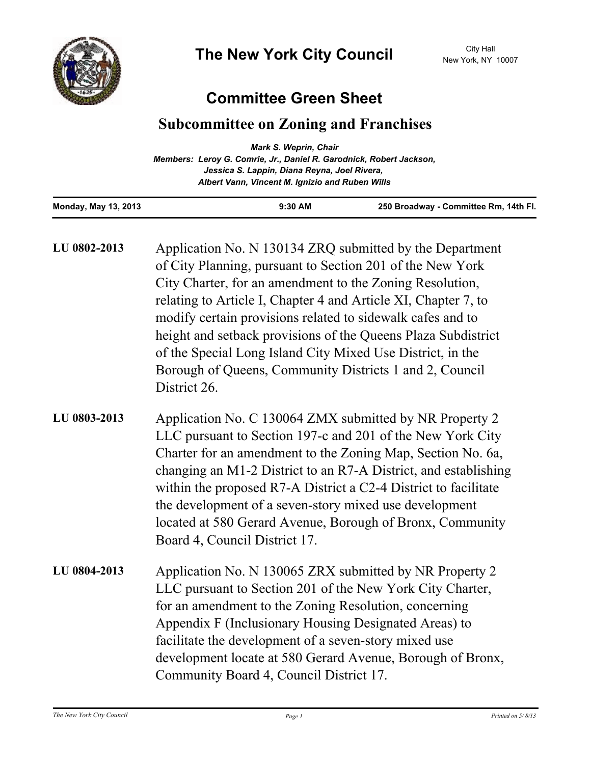

## **Committee Green Sheet**

## **Subcommittee on Zoning and Franchises**

|                                                                     | <b>Mark S. Weprin, Chair</b>                    |                                       |
|---------------------------------------------------------------------|-------------------------------------------------|---------------------------------------|
| Members: Leroy G. Comrie, Jr., Daniel R. Garodnick, Robert Jackson, |                                                 |                                       |
|                                                                     | Jessica S. Lappin, Diana Reyna, Joel Rivera,    |                                       |
|                                                                     | Albert Vann, Vincent M. Ignizio and Ruben Wills |                                       |
| <b>Monday, May 13, 2013</b>                                         | $9:30$ AM                                       | 250 Broadway - Committee Rm, 14th Fl. |

| LU 0802-2013 | Application No. N 130134 ZRQ submitted by the Department<br>of City Planning, pursuant to Section 201 of the New York<br>City Charter, for an amendment to the Zoning Resolution,<br>relating to Article I, Chapter 4 and Article XI, Chapter 7, to<br>modify certain provisions related to sidewalk cafes and to<br>height and setback provisions of the Queens Plaza Subdistrict<br>of the Special Long Island City Mixed Use District, in the<br>Borough of Queens, Community Districts 1 and 2, Council<br>District 26. |
|--------------|-----------------------------------------------------------------------------------------------------------------------------------------------------------------------------------------------------------------------------------------------------------------------------------------------------------------------------------------------------------------------------------------------------------------------------------------------------------------------------------------------------------------------------|
| LU 0803-2013 | Application No. C 130064 ZMX submitted by NR Property 2<br>LLC pursuant to Section 197-c and 201 of the New York City<br>Charter for an amendment to the Zoning Map, Section No. 6a,<br>changing an M1-2 District to an R7-A District, and establishing<br>within the proposed R7-A District a C2-4 District to facilitate<br>the development of a seven-story mixed use development<br>located at 580 Gerard Avenue, Borough of Bronx, Community<br>Board 4, Council District 17.                                          |
| LU 0804-2013 | Application No. N 130065 ZRX submitted by NR Property 2<br>LLC pursuant to Section 201 of the New York City Charter,<br>for an amendment to the Zoning Resolution, concerning<br>Appendix F (Inclusionary Housing Designated Areas) to<br>facilitate the development of a seven-story mixed use<br>development locate at 580 Gerard Avenue, Borough of Bronx,<br>Community Board 4, Council District 17.                                                                                                                    |